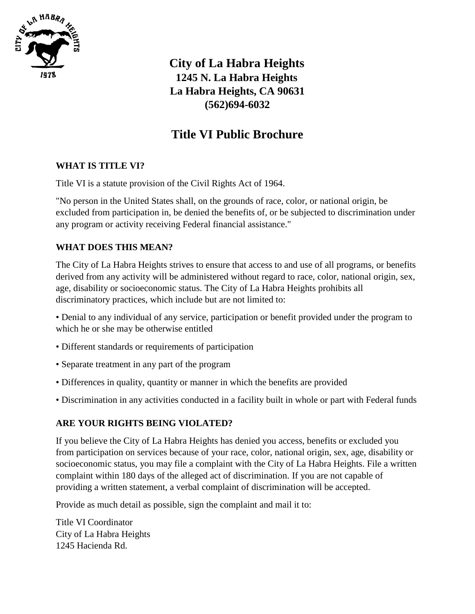

 **City of La Habra Heights 1245 N. La Habra Heights La Habra Heights, CA 90631 (562)694-6032**

# **Title VI Public Brochure**

### **WHAT IS TITLE VI?**

Title VI is a statute provision of the Civil Rights Act of 1964.

"No person in the United States shall, on the grounds of race, color, or national origin, be excluded from participation in, be denied the benefits of, or be subjected to discrimination under any program or activity receiving Federal financial assistance."

# **WHAT DOES THIS MEAN?**

The City of La Habra Heights strives to ensure that access to and use of all programs, or benefits derived from any activity will be administered without regard to race, color, national origin, sex, age, disability or socioeconomic status. The City of La Habra Heights prohibits all discriminatory practices, which include but are not limited to:

• Denial to any individual of any service, participation or benefit provided under the program to which he or she may be otherwise entitled

- Different standards or requirements of participation
- Separate treatment in any part of the program
- Differences in quality, quantity or manner in which the benefits are provided
- Discrimination in any activities conducted in a facility built in whole or part with Federal funds

### **ARE YOUR RIGHTS BEING VIOLATED?**

If you believe the City of La Habra Heights has denied you access, benefits or excluded you from participation on services because of your race, color, national origin, sex, age, disability or socioeconomic status, you may file a complaint with the City of La Habra Heights. File a written complaint within 180 days of the alleged act of discrimination. If you are not capable of providing a written statement, a verbal complaint of discrimination will be accepted.

Provide as much detail as possible, sign the complaint and mail it to:

Title VI Coordinator City of La Habra Heights 1245 Hacienda Rd.